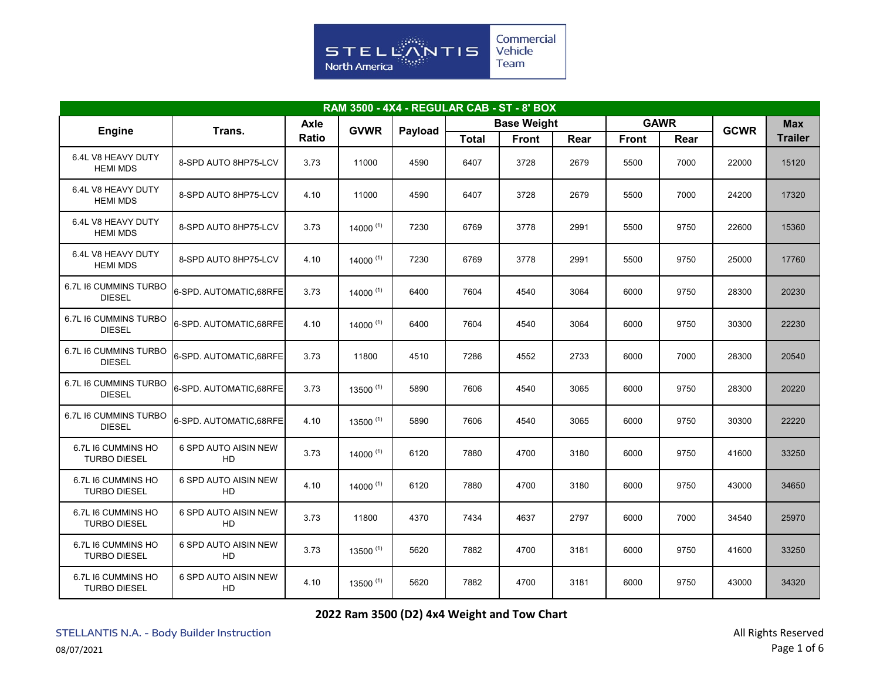

| <b>RAM 3500 - 4X4 - REGULAR CAB - ST - 8' BOX</b> |                                   |       |               |         |              |                    |      |              |             |             |                |  |
|---------------------------------------------------|-----------------------------------|-------|---------------|---------|--------------|--------------------|------|--------------|-------------|-------------|----------------|--|
|                                                   |                                   |       | <b>GVWR</b>   |         |              | <b>Base Weight</b> |      |              | <b>GAWR</b> | <b>GCWR</b> | <b>Max</b>     |  |
| <b>Engine</b>                                     | Trans.                            | Ratio |               | Payload | <b>Total</b> | <b>Front</b>       | Rear | <b>Front</b> | Rear        |             | <b>Trailer</b> |  |
| 6.4L V8 HEAVY DUTY<br><b>HEMI MDS</b>             | 8-SPD AUTO 8HP75-LCV              | 3.73  | 11000         | 4590    | 6407         | 3728               | 2679 | 5500         | 7000        | 22000       | 15120          |  |
| 6.4L V8 HEAVY DUTY<br><b>HEMI MDS</b>             | 8-SPD AUTO 8HP75-LCV              | 4.10  | 11000         | 4590    | 6407         | 3728               | 2679 | 5500         | 7000        | 24200       | 17320          |  |
| 6.4L V8 HEAVY DUTY<br><b>HEMI MDS</b>             | 8-SPD AUTO 8HP75-LCV              | 3.73  | $14000^{(1)}$ | 7230    | 6769         | 3778               | 2991 | 5500         | 9750        | 22600       | 15360          |  |
| 6.4L V8 HEAVY DUTY<br><b>HEMI MDS</b>             | 8-SPD AUTO 8HP75-LCV              | 4.10  | $14000^{(1)}$ | 7230    | 6769         | 3778               | 2991 | 5500         | 9750        | 25000       | 17760          |  |
| 6.7L I6 CUMMINS TURBO<br><b>DIESEL</b>            | 6-SPD. AUTOMATIC, 68RFE           | 3.73  | $14000^{(1)}$ | 6400    | 7604         | 4540               | 3064 | 6000         | 9750        | 28300       | 20230          |  |
| 6.7L I6 CUMMINS TURBO<br><b>DIESEL</b>            | 6-SPD. AUTOMATIC, 68RFE           | 4.10  | $14000^{(1)}$ | 6400    | 7604         | 4540               | 3064 | 6000         | 9750        | 30300       | 22230          |  |
| 6.7L I6 CUMMINS TURBO<br><b>DIESEL</b>            | 6-SPD. AUTOMATIC, 68RFE           | 3.73  | 11800         | 4510    | 7286         | 4552               | 2733 | 6000         | 7000        | 28300       | 20540          |  |
| 6.7L I6 CUMMINS TURBO<br><b>DIESEL</b>            | 6-SPD. AUTOMATIC, 68RFE           | 3.73  | $13500^{(1)}$ | 5890    | 7606         | 4540               | 3065 | 6000         | 9750        | 28300       | 20220          |  |
| 6.7L I6 CUMMINS TURBO<br><b>DIESEL</b>            | 6-SPD. AUTOMATIC, 68RFE           | 4.10  | $13500^{(1)}$ | 5890    | 7606         | 4540               | 3065 | 6000         | 9750        | 30300       | 22220          |  |
| 6.7L I6 CUMMINS HO<br><b>TURBO DIESEL</b>         | 6 SPD AUTO AISIN NEW<br>HD        | 3.73  | 14000 $(1)$   | 6120    | 7880         | 4700               | 3180 | 6000         | 9750        | 41600       | 33250          |  |
| 6.7L I6 CUMMINS HO<br><b>TURBO DIESEL</b>         | 6 SPD AUTO AISIN NEW<br>HD        | 4.10  | $14000^{(1)}$ | 6120    | 7880         | 4700               | 3180 | 6000         | 9750        | 43000       | 34650          |  |
| 6.7L I6 CUMMINS HO<br><b>TURBO DIESEL</b>         | 6 SPD AUTO AISIN NEW<br>HD        | 3.73  | 11800         | 4370    | 7434         | 4637               | 2797 | 6000         | 7000        | 34540       | 25970          |  |
| 6.7L I6 CUMMINS HO<br><b>TURBO DIESEL</b>         | 6 SPD AUTO AISIN NEW<br><b>HD</b> | 3.73  | $13500^{(1)}$ | 5620    | 7882         | 4700               | 3181 | 6000         | 9750        | 41600       | 33250          |  |
| 6.7L I6 CUMMINS HO<br><b>TURBO DIESEL</b>         | 6 SPD AUTO AISIN NEW<br>HD        | 4.10  | $13500^{(1)}$ | 5620    | 7882         | 4700               | 3181 | 6000         | 9750        | 43000       | 34320          |  |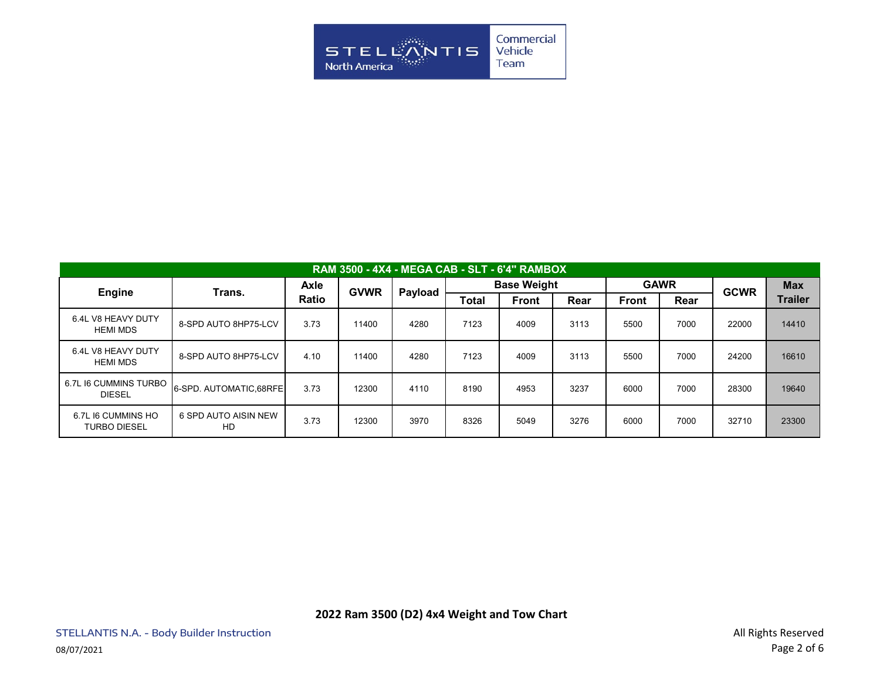

| <b>RAM 3500 - 4X4 - MEGA CAB - SLT - 6'4" RAMBOX</b> |                            |                      |             |         |                    |              |      |              |      |             |                |  |  |
|------------------------------------------------------|----------------------------|----------------------|-------------|---------|--------------------|--------------|------|--------------|------|-------------|----------------|--|--|
| <b>Engine</b>                                        | Trans.                     | Axle<br><b>Ratio</b> | <b>GVWR</b> | Payload | <b>Base Weight</b> |              |      | <b>GAWR</b>  |      | <b>GCWR</b> | <b>Max</b>     |  |  |
|                                                      |                            |                      |             |         | <b>Total</b>       | <b>Front</b> | Rear | <b>Front</b> | Rear |             | <b>Trailer</b> |  |  |
| 6.4L V8 HEAVY DUTY<br><b>HEMI MDS</b>                | 8-SPD AUTO 8HP75-LCV       | 3.73                 | 11400       | 4280    | 7123               | 4009         | 3113 | 5500         | 7000 | 22000       | 14410          |  |  |
| 6.4L V8 HEAVY DUTY<br><b>HEMI MDS</b>                | 8-SPD AUTO 8HP75-LCV       | 4.10                 | 11400       | 4280    | 7123               | 4009         | 3113 | 5500         | 7000 | 24200       | 16610          |  |  |
| 6.7L I6 CUMMINS TURBO<br><b>DIESEL</b>               | 6-SPD. AUTOMATIC.68RFE     | 3.73                 | 12300       | 4110    | 8190               | 4953         | 3237 | 6000         | 7000 | 28300       | 19640          |  |  |
| 6.7L I6 CUMMINS HO<br><b>TURBO DIESEL</b>            | 6 SPD AUTO AISIN NEW<br>HD | 3.73                 | 12300       | 3970    | 8326               | 5049         | 3276 | 6000         | 7000 | 32710       | 23300          |  |  |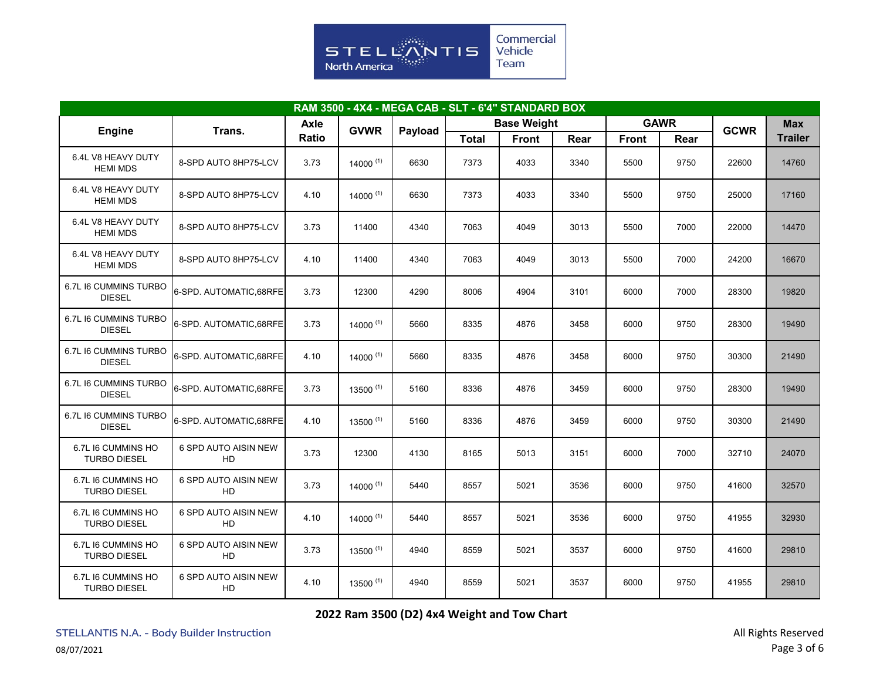

| RAM 3500 - 4X4 - MEGA CAB - SLT - 6'4" STANDARD BOX |                            |                     |               |         |              |                    |      |              |             |             |                |  |  |
|-----------------------------------------------------|----------------------------|---------------------|---------------|---------|--------------|--------------------|------|--------------|-------------|-------------|----------------|--|--|
|                                                     |                            | Axle<br><b>GVWR</b> |               |         |              | <b>Base Weight</b> |      |              | <b>GAWR</b> | <b>GCWR</b> | <b>Max</b>     |  |  |
| <b>Engine</b>                                       | Trans.                     | <b>Ratio</b>        |               | Payload | <b>Total</b> | <b>Front</b>       | Rear | <b>Front</b> | Rear        |             | <b>Trailer</b> |  |  |
| 6.4L V8 HEAVY DUTY<br><b>HEMI MDS</b>               | 8-SPD AUTO 8HP75-LCV       | 3.73                | $14000^{(1)}$ | 6630    | 7373         | 4033               | 3340 | 5500         | 9750        | 22600       | 14760          |  |  |
| 6.4L V8 HEAVY DUTY<br><b>HEMI MDS</b>               | 8-SPD AUTO 8HP75-LCV       | 4.10                | $14000^{(1)}$ | 6630    | 7373         | 4033               | 3340 | 5500         | 9750        | 25000       | 17160          |  |  |
| 6.4L V8 HEAVY DUTY<br><b>HEMI MDS</b>               | 8-SPD AUTO 8HP75-LCV       | 3.73                | 11400         | 4340    | 7063         | 4049               | 3013 | 5500         | 7000        | 22000       | 14470          |  |  |
| 6.4L V8 HEAVY DUTY<br><b>HEMI MDS</b>               | 8-SPD AUTO 8HP75-LCV       | 4.10                | 11400         | 4340    | 7063         | 4049               | 3013 | 5500         | 7000        | 24200       | 16670          |  |  |
| 6.7L I6 CUMMINS TURBO<br><b>DIESEL</b>              | 6-SPD, AUTOMATIC.68RFE     | 3.73                | 12300         | 4290    | 8006         | 4904               | 3101 | 6000         | 7000        | 28300       | 19820          |  |  |
| 6.7L I6 CUMMINS TURBO<br><b>DIESEL</b>              | 6-SPD. AUTOMATIC, 68RFE    | 3.73                | $14000^{(1)}$ | 5660    | 8335         | 4876               | 3458 | 6000         | 9750        | 28300       | 19490          |  |  |
| 6.7L I6 CUMMINS TURBO<br><b>DIESEL</b>              | 6-SPD. AUTOMATIC, 68RFE    | 4.10                | 14000 $(1)$   | 5660    | 8335         | 4876               | 3458 | 6000         | 9750        | 30300       | 21490          |  |  |
| 6.7L I6 CUMMINS TURBO<br><b>DIESEL</b>              | 6-SPD. AUTOMATIC, 68RFE    | 3.73                | $13500^{(1)}$ | 5160    | 8336         | 4876               | 3459 | 6000         | 9750        | 28300       | 19490          |  |  |
| 6.7L I6 CUMMINS TURBO<br><b>DIESEL</b>              | 6-SPD. AUTOMATIC, 68RFE    | 4.10                | $13500^{(1)}$ | 5160    | 8336         | 4876               | 3459 | 6000         | 9750        | 30300       | 21490          |  |  |
| 6.7L I6 CUMMINS HO<br><b>TURBO DIESEL</b>           | 6 SPD AUTO AISIN NEW<br>HD | 3.73                | 12300         | 4130    | 8165         | 5013               | 3151 | 6000         | 7000        | 32710       | 24070          |  |  |
| 6.7L I6 CUMMINS HO<br><b>TURBO DIESEL</b>           | 6 SPD AUTO AISIN NEW<br>HD | 3.73                | $14000^{(1)}$ | 5440    | 8557         | 5021               | 3536 | 6000         | 9750        | 41600       | 32570          |  |  |
| 6.7L I6 CUMMINS HO<br><b>TURBO DIESEL</b>           | 6 SPD AUTO AISIN NEW<br>HD | 4.10                | $14000^{(1)}$ | 5440    | 8557         | 5021               | 3536 | 6000         | 9750        | 41955       | 32930          |  |  |
| 6.7L I6 CUMMINS HO<br><b>TURBO DIESEL</b>           | 6 SPD AUTO AISIN NEW<br>HD | 3.73                | $13500^{(1)}$ | 4940    | 8559         | 5021               | 3537 | 6000         | 9750        | 41600       | 29810          |  |  |
| 6.7L I6 CUMMINS HO<br><b>TURBO DIESEL</b>           | 6 SPD AUTO AISIN NEW<br>HD | 4.10                | $13500^{(1)}$ | 4940    | 8559         | 5021               | 3537 | 6000         | 9750        | 41955       | 29810          |  |  |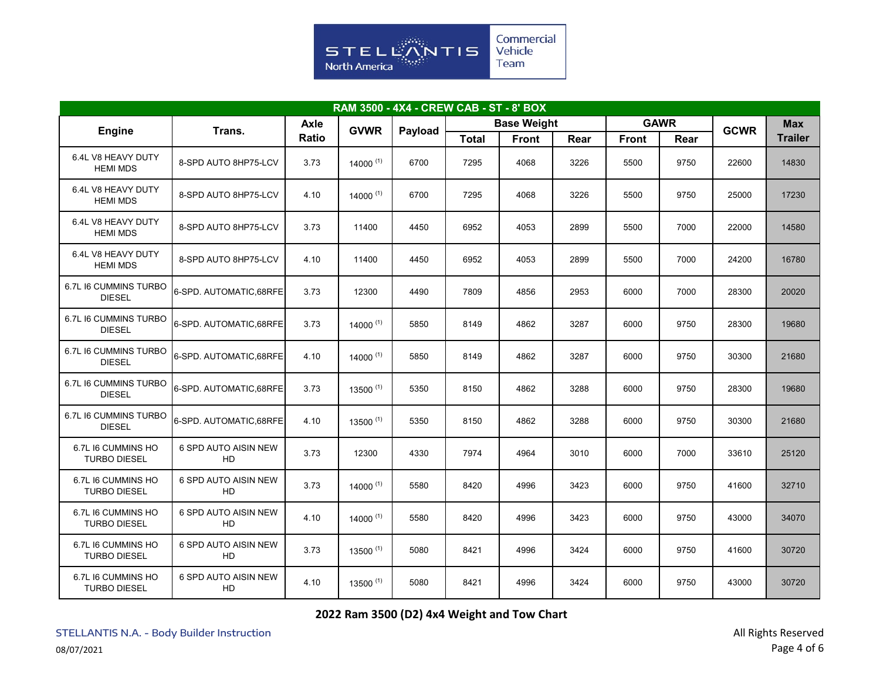

| RAM 3500 - 4X4 - CREW CAB - ST - 8' BOX   |                            |       |               |         |              |                    |      |              |             |             |                |  |  |
|-------------------------------------------|----------------------------|-------|---------------|---------|--------------|--------------------|------|--------------|-------------|-------------|----------------|--|--|
|                                           |                            |       | <b>GVWR</b>   |         |              | <b>Base Weight</b> |      |              | <b>GAWR</b> | <b>GCWR</b> | <b>Max</b>     |  |  |
| <b>Engine</b>                             | Trans.                     | Ratio |               | Payload | <b>Total</b> | <b>Front</b>       | Rear | <b>Front</b> | Rear        |             | <b>Trailer</b> |  |  |
| 6.4L V8 HEAVY DUTY<br><b>HEMI MDS</b>     | 8-SPD AUTO 8HP75-LCV       | 3.73  | $14000^{(1)}$ | 6700    | 7295         | 4068               | 3226 | 5500         | 9750        | 22600       | 14830          |  |  |
| 6.4L V8 HEAVY DUTY<br><b>HEMI MDS</b>     | 8-SPD AUTO 8HP75-LCV       | 4.10  | $14000^{(1)}$ | 6700    | 7295         | 4068               | 3226 | 5500         | 9750        | 25000       | 17230          |  |  |
| 6.4L V8 HEAVY DUTY<br><b>HEMI MDS</b>     | 8-SPD AUTO 8HP75-LCV       | 3.73  | 11400         | 4450    | 6952         | 4053               | 2899 | 5500         | 7000        | 22000       | 14580          |  |  |
| 6.4L V8 HEAVY DUTY<br><b>HEMI MDS</b>     | 8-SPD AUTO 8HP75-LCV       | 4.10  | 11400         | 4450    | 6952         | 4053               | 2899 | 5500         | 7000        | 24200       | 16780          |  |  |
| 6.7L I6 CUMMINS TURBO<br><b>DIESEL</b>    | 6-SPD. AUTOMATIC, 68RFE    | 3.73  | 12300         | 4490    | 7809         | 4856               | 2953 | 6000         | 7000        | 28300       | 20020          |  |  |
| 6.7L I6 CUMMINS TURBO<br><b>DIESEL</b>    | 6-SPD. AUTOMATIC, 68RFE    | 3.73  | $14000^{(1)}$ | 5850    | 8149         | 4862               | 3287 | 6000         | 9750        | 28300       | 19680          |  |  |
| 6.7L I6 CUMMINS TURBO<br><b>DIESEL</b>    | 6-SPD. AUTOMATIC, 68RFE    | 4.10  | 14000 $(1)$   | 5850    | 8149         | 4862               | 3287 | 6000         | 9750        | 30300       | 21680          |  |  |
| 6.7L I6 CUMMINS TURBO<br><b>DIESEL</b>    | 6-SPD. AUTOMATIC, 68RFE    | 3.73  | $13500^{(1)}$ | 5350    | 8150         | 4862               | 3288 | 6000         | 9750        | 28300       | 19680          |  |  |
| 6.7L I6 CUMMINS TURBO<br><b>DIESEL</b>    | 6-SPD. AUTOMATIC, 68RFE    | 4.10  | $13500^{(1)}$ | 5350    | 8150         | 4862               | 3288 | 6000         | 9750        | 30300       | 21680          |  |  |
| 6.7L I6 CUMMINS HO<br><b>TURBO DIESEL</b> | 6 SPD AUTO AISIN NEW<br>HD | 3.73  | 12300         | 4330    | 7974         | 4964               | 3010 | 6000         | 7000        | 33610       | 25120          |  |  |
| 6.7L I6 CUMMINS HO<br><b>TURBO DIESEL</b> | 6 SPD AUTO AISIN NEW<br>HD | 3.73  | $14000^{(1)}$ | 5580    | 8420         | 4996               | 3423 | 6000         | 9750        | 41600       | 32710          |  |  |
| 6.7L I6 CUMMINS HO<br><b>TURBO DIESEL</b> | 6 SPD AUTO AISIN NEW<br>HD | 4.10  | $14000^{(1)}$ | 5580    | 8420         | 4996               | 3423 | 6000         | 9750        | 43000       | 34070          |  |  |
| 6.7L I6 CUMMINS HO<br><b>TURBO DIESEL</b> | 6 SPD AUTO AISIN NEW<br>HD | 3.73  | 13500 $(1)$   | 5080    | 8421         | 4996               | 3424 | 6000         | 9750        | 41600       | 30720          |  |  |
| 6.7L I6 CUMMINS HO<br><b>TURBO DIESEL</b> | 6 SPD AUTO AISIN NEW<br>HD | 4.10  | $13500^{(1)}$ | 5080    | 8421         | 4996               | 3424 | 6000         | 9750        | 43000       | 30720          |  |  |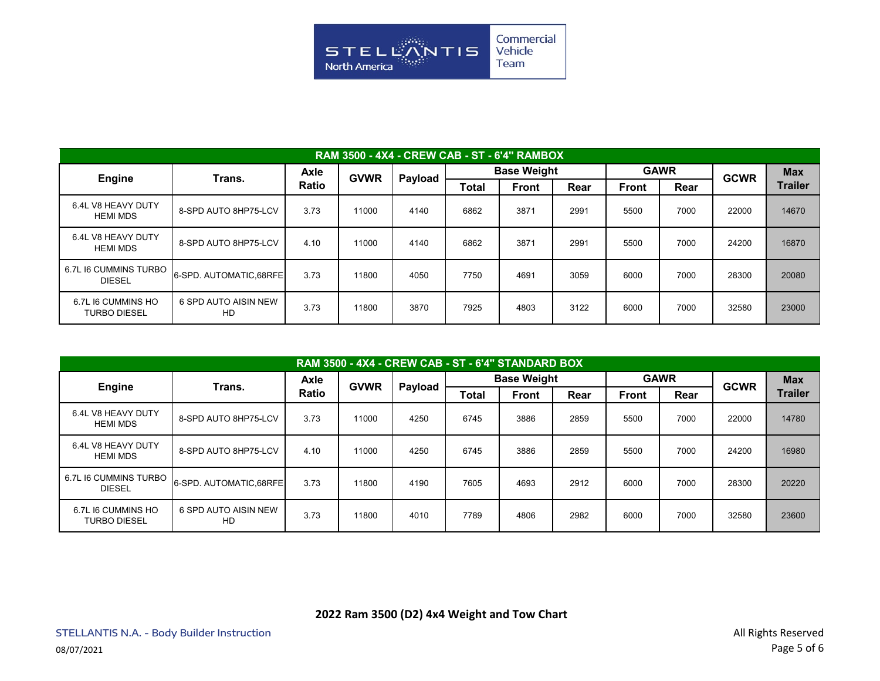

| RAM 3500 - 4X4 - CREW CAB - ST - 6'4" RAMBOX |                            |                             |             |         |                    |              |      |              |      |             |                |  |  |
|----------------------------------------------|----------------------------|-----------------------------|-------------|---------|--------------------|--------------|------|--------------|------|-------------|----------------|--|--|
| <b>Engine</b>                                | Trans.                     | <b>Axle</b><br><b>Ratio</b> | <b>GVWR</b> | Payload | <b>Base Weight</b> |              |      | <b>GAWR</b>  |      | <b>GCWR</b> | <b>Max</b>     |  |  |
|                                              |                            |                             |             |         | Total              | <b>Front</b> | Rear | <b>Front</b> | Rear |             | <b>Trailer</b> |  |  |
| 6.4L V8 HEAVY DUTY<br><b>HEMI MDS</b>        | 8-SPD AUTO 8HP75-LCV       | 3.73                        | 11000       | 4140    | 6862               | 3871         | 2991 | 5500         | 7000 | 22000       | 14670          |  |  |
| 6.4L V8 HEAVY DUTY<br><b>HEMI MDS</b>        | 8-SPD AUTO 8HP75-LCV       | 4.10                        | 11000       | 4140    | 6862               | 3871         | 2991 | 5500         | 7000 | 24200       | 16870          |  |  |
| 6.7L I6 CUMMINS TURBO<br><b>DIESEL</b>       | 6-SPD. AUTOMATIC.68RFEI    | 3.73                        | 11800       | 4050    | 7750               | 4691         | 3059 | 6000         | 7000 | 28300       | 20080          |  |  |
| 6.7L I6 CUMMINS HO<br><b>TURBO DIESEL</b>    | 6 SPD AUTO AISIN NEW<br>HD | 3.73                        | 11800       | 3870    | 7925               | 4803         | 3122 | 6000         | 7000 | 32580       | 23000          |  |  |

| RAM 3500 - 4X4 - CREW CAB - ST - 6'4" STANDARD BOX |                            |              |             |         |                    |              |      |              |             |             |                |  |  |
|----------------------------------------------------|----------------------------|--------------|-------------|---------|--------------------|--------------|------|--------------|-------------|-------------|----------------|--|--|
| <b>Engine</b>                                      | Trans.                     | Axle         | <b>GVWR</b> | Payload | <b>Base Weight</b> |              |      |              | <b>GAWR</b> | <b>GCWR</b> | <b>Max</b>     |  |  |
|                                                    |                            | <b>Ratio</b> |             |         | <b>Total</b>       | <b>Front</b> | Rear | <b>Front</b> | Rear        |             | <b>Trailer</b> |  |  |
| 6.4L V8 HEAVY DUTY<br><b>HEMI MDS</b>              | 8-SPD AUTO 8HP75-LCV       | 3.73         | 11000       | 4250    | 6745               | 3886         | 2859 | 5500         | 7000        | 22000       | 14780          |  |  |
| 6.4L V8 HEAVY DUTY<br><b>HEMI MDS</b>              | 8-SPD AUTO 8HP75-LCV       | 4.10         | 11000       | 4250    | 6745               | 3886         | 2859 | 5500         | 7000        | 24200       | 16980          |  |  |
| 6.7L I6 CUMMINS TURBO<br><b>DIESEL</b>             | 6-SPD. AUTOMATIC, 68RFE    | 3.73         | 11800       | 4190    | 7605               | 4693         | 2912 | 6000         | 7000        | 28300       | 20220          |  |  |
| 6.7L I6 CUMMINS HO<br><b>TURBO DIESEL</b>          | 6 SPD AUTO AISIN NEW<br>HD | 3.73         | 11800       | 4010    | 7789               | 4806         | 2982 | 6000         | 7000        | 32580       | 23600          |  |  |